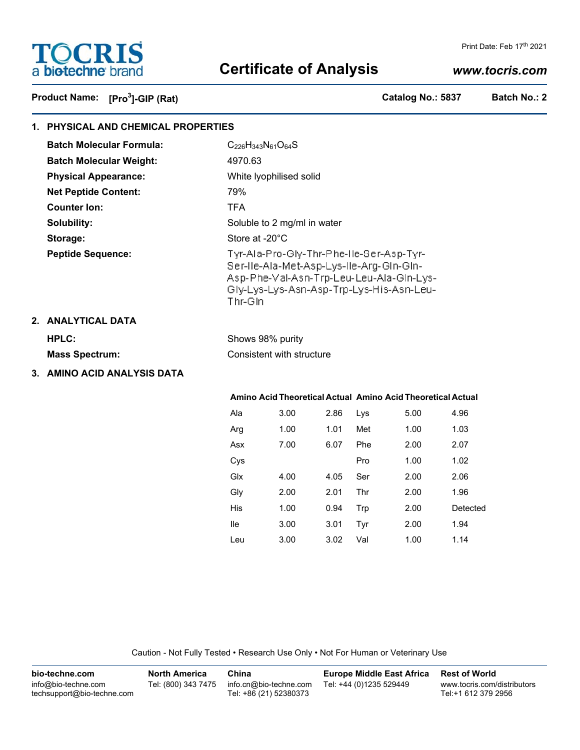

# **Certificate of Analysis**

#### Print Date: Feb 17th 2021

# *www.tocris.com*

Product Name: [Pro<sup>3</sup>]-GIP (Rat)

**]-GIP (Rat) Catalog No.: 5837 Batch No.: 2**

 $1.00$   $1.14$ 

| 1. PHYSICAL AND CHEMICAL PROPERTIES |                                 |                                                                                                                                                                                         |      |      |     |      |          |  |
|-------------------------------------|---------------------------------|-----------------------------------------------------------------------------------------------------------------------------------------------------------------------------------------|------|------|-----|------|----------|--|
|                                     | <b>Batch Molecular Formula:</b> | $C_{226}H_{343}N_{61}O_{64}S$                                                                                                                                                           |      |      |     |      |          |  |
|                                     | <b>Batch Molecular Weight:</b>  | 4970.63                                                                                                                                                                                 |      |      |     |      |          |  |
|                                     | <b>Physical Appearance:</b>     | White lyophilised solid                                                                                                                                                                 |      |      |     |      |          |  |
|                                     | <b>Net Peptide Content:</b>     | 79%                                                                                                                                                                                     |      |      |     |      |          |  |
|                                     | <b>Counter lon:</b>             | <b>TFA</b>                                                                                                                                                                              |      |      |     |      |          |  |
|                                     | Solubility:                     | Soluble to 2 mg/ml in water                                                                                                                                                             |      |      |     |      |          |  |
|                                     | Storage:                        | Store at -20°C                                                                                                                                                                          |      |      |     |      |          |  |
|                                     | <b>Peptide Sequence:</b>        | Tyr-Ala-Pro-Gly-Thr-Phe-Ile-Ser-Asp-Tyr-<br>Ser-Ile-Ala-Met-Asp-Lys-Ile-Arg-Gin-Gin-<br>Asp-Phe-Val-Asn-Trp-Leu-Leu-Ala-Gin-Lys-<br>Gly-Lys-Lys-Asn-Asp-Trp-Lys-His-Asn-Leu-<br>Thr-Gin |      |      |     |      |          |  |
|                                     | 2. ANALYTICAL DATA              |                                                                                                                                                                                         |      |      |     |      |          |  |
|                                     | <b>HPLC:</b>                    | Shows 98% purity                                                                                                                                                                        |      |      |     |      |          |  |
|                                     | <b>Mass Spectrum:</b>           | Consistent with structure                                                                                                                                                               |      |      |     |      |          |  |
|                                     | 3. AMINO ACID ANALYSIS DATA     |                                                                                                                                                                                         |      |      |     |      |          |  |
|                                     |                                 | Amino Acid Theoretical Actual Amino Acid Theoretical Actual                                                                                                                             |      |      |     |      |          |  |
|                                     |                                 | Ala                                                                                                                                                                                     | 3.00 | 2.86 | Lys | 5.00 | 4.96     |  |
|                                     |                                 | Arg                                                                                                                                                                                     | 1.00 | 1.01 | Met | 1.00 | 1.03     |  |
|                                     |                                 | Asx                                                                                                                                                                                     | 7.00 | 6.07 | Phe | 2.00 | 2.07     |  |
|                                     |                                 | Cys                                                                                                                                                                                     |      |      | Pro | 1.00 | 1.02     |  |
|                                     |                                 | Glx                                                                                                                                                                                     | 4.00 | 4.05 | Ser | 2.00 | 2.06     |  |
|                                     |                                 | Gly                                                                                                                                                                                     | 2.00 | 2.01 | Thr | 2.00 | 1.96     |  |
|                                     |                                 | His                                                                                                                                                                                     | 1.00 | 0.94 | Trp | 2.00 | Detected |  |
|                                     |                                 | lle                                                                                                                                                                                     | 3.00 | 3.01 | Tyr | 2.00 | 1.94     |  |

Caution - Not Fully Tested • Research Use Only • Not For Human or Veterinary Use

Leu 3.00 3.02 Val

| bio-techne.com                                    | <b>North America</b> | China                                            | <b>Europe Middle East Africa</b> | <b>Rest of World</b>                               |
|---------------------------------------------------|----------------------|--------------------------------------------------|----------------------------------|----------------------------------------------------|
| info@bio-techne.com<br>techsupport@bio-techne.com | Tel: (800) 343 7475  | info.cn@bio-techne.com<br>Tel: +86 (21) 52380373 | Tel: +44 (0)1235 529449          | www.tocris.com/distributors<br>Tel:+1 612 379 2956 |